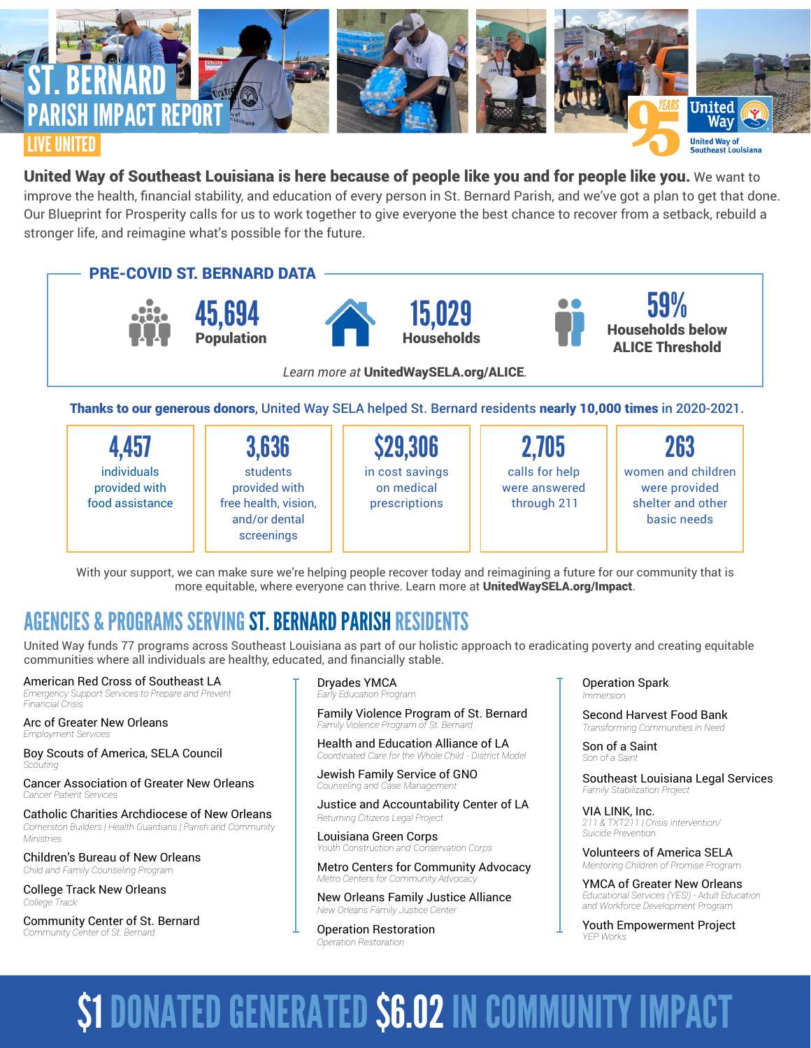

#### United Way of Southeast Louisiana is here because of people like you and for people like you. We want to improve the health, financial stability, and education of every person in St. Bernard Parish, and we've got a plan to get that done. Our Blueprint for Prosperity calls for us to work together to give everyone the best chance to recover from a setback, rebuild a stronger life, and reimagine what's possible for the future.



on medical prescriptions were answered through 211

women and children were provided shelter and other basic needs

With your support, we can make sure we're helping people recover today and reimagining a future for our community that is more equitable, where everyone can thrive. Learn more at UnitedWaySELA.org/Impact.

### AGENCIES & PROGRAMS SERVING ST. BERNARD PARISH RESIDENTS

provided with free health, vision, and/or dental screenings

United Way funds 77 programs across Southeast Louisiana as part of our holistic approach to eradicating poverty and creating equitable communities where all individuals are healthy, educated, and financially stable.

American Red Cross of Southeast LA

*Emergency Support Services to Prepare and Prevent Financial Crisis*

provided with food assistance

Arc of Greater New Orleans *Employment Services*

Boy Scouts of America, SELA Council *Scouting*

Cancer Association of Greater New Orleans *Cancer Patient Services*

Catholic Charities Archdiocese of New Orleans *Cornerston Builders | Health Guardians | Parish and Community Ministries*

Children's Bureau of New Orleans *Child and Family Counseling Program*

College Track New Orleans *College Track*

Community Center of St. Bernard *Community Center of St. Bernard*

Dryades YMCA *Early Education Program*

Family Violence Program of St. Bernard *Family Violence Program of St. Bernard* 

Health and Education Alliance of LA *Coordinated Care for the Whole Child - District Model*

Jewish Family Service of GNO *Counseling and Case Management*

Justice and Accountability Center of LA *Returning Citizens Legal Project*

Louisiana Green Corps *Youth Construction and Conservation Corps*

Metro Centers for Community Advocacy *Metro Centers for Community Advocacy*

New Orleans Family Justice Alliance *New Orleans Family Justice Center*

Operation Restoration *Operation Restoration*

Operation Spark *Immersion*

Second Harvest Food Bank *Transforming Communities in Need*

Son of a Saint *Son of a Saint*

Southeast Louisiana Legal Services *Family Stabilization Project*

VIA LINK, Inc. *211 & TXT211 | Crisis Intervention/ Suicide Prevention*

Volunteers of America SELA *Mentoring Children of Promise Program*

YMCA of Greater New Orleans *Educational Services (YES!) - Adult Education and Workforce Development Program*

Youth Empowerment Project *YEP Works*

# \$1 DONATED GENERATED \$6.02 IN COMMUNITY IMPACT